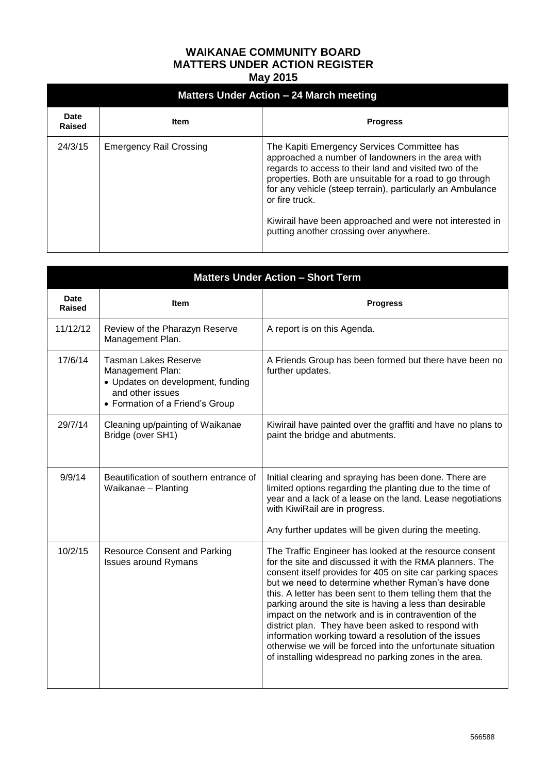## **WAIKANAE COMMUNITY BOARD MATTERS UNDER ACTION REGISTER May 2015**

| Matters Under Action – 24 March meeting |                                |                                                                                                                                                                                                                                                                                                                                                                                                                |  |  |
|-----------------------------------------|--------------------------------|----------------------------------------------------------------------------------------------------------------------------------------------------------------------------------------------------------------------------------------------------------------------------------------------------------------------------------------------------------------------------------------------------------------|--|--|
| <b>Date</b><br>Raised                   | Item                           | <b>Progress</b>                                                                                                                                                                                                                                                                                                                                                                                                |  |  |
| 24/3/15                                 | <b>Emergency Rail Crossing</b> | The Kapiti Emergency Services Committee has<br>approached a number of landowners in the area with<br>regards to access to their land and visited two of the<br>properties. Both are unsuitable for a road to go through<br>for any vehicle (steep terrain), particularly an Ambulance<br>or fire truck.<br>Kiwirail have been approached and were not interested in<br>putting another crossing over anywhere. |  |  |

| <b>Matters Under Action - Short Term</b> |                                                                                                                                             |                                                                                                                                                                                                                                                                                                                                                                                                                                                                                                                                                                                                                                                                  |  |  |
|------------------------------------------|---------------------------------------------------------------------------------------------------------------------------------------------|------------------------------------------------------------------------------------------------------------------------------------------------------------------------------------------------------------------------------------------------------------------------------------------------------------------------------------------------------------------------------------------------------------------------------------------------------------------------------------------------------------------------------------------------------------------------------------------------------------------------------------------------------------------|--|--|
| <b>Date</b><br>Raised                    | <b>Item</b>                                                                                                                                 | <b>Progress</b>                                                                                                                                                                                                                                                                                                                                                                                                                                                                                                                                                                                                                                                  |  |  |
| 11/12/12                                 | Review of the Pharazyn Reserve<br>Management Plan.                                                                                          | A report is on this Agenda.                                                                                                                                                                                                                                                                                                                                                                                                                                                                                                                                                                                                                                      |  |  |
| 17/6/14                                  | <b>Tasman Lakes Reserve</b><br>Management Plan:<br>• Updates on development, funding<br>and other issues<br>• Formation of a Friend's Group | A Friends Group has been formed but there have been no<br>further updates.                                                                                                                                                                                                                                                                                                                                                                                                                                                                                                                                                                                       |  |  |
| 29/7/14                                  | Cleaning up/painting of Waikanae<br>Bridge (over SH1)                                                                                       | Kiwirail have painted over the graffiti and have no plans to<br>paint the bridge and abutments.                                                                                                                                                                                                                                                                                                                                                                                                                                                                                                                                                                  |  |  |
| 9/9/14                                   | Beautification of southern entrance of<br>Waikanae - Planting                                                                               | Initial clearing and spraying has been done. There are<br>limited options regarding the planting due to the time of<br>year and a lack of a lease on the land. Lease negotiations<br>with KiwiRail are in progress.<br>Any further updates will be given during the meeting.                                                                                                                                                                                                                                                                                                                                                                                     |  |  |
| 10/2/15                                  | <b>Resource Consent and Parking</b><br><b>Issues around Rymans</b>                                                                          | The Traffic Engineer has looked at the resource consent<br>for the site and discussed it with the RMA planners. The<br>consent itself provides for 405 on site car parking spaces<br>but we need to determine whether Ryman's have done<br>this. A letter has been sent to them telling them that the<br>parking around the site is having a less than desirable<br>impact on the network and is in contravention of the<br>district plan. They have been asked to respond with<br>information working toward a resolution of the issues<br>otherwise we will be forced into the unfortunate situation<br>of installing widespread no parking zones in the area. |  |  |